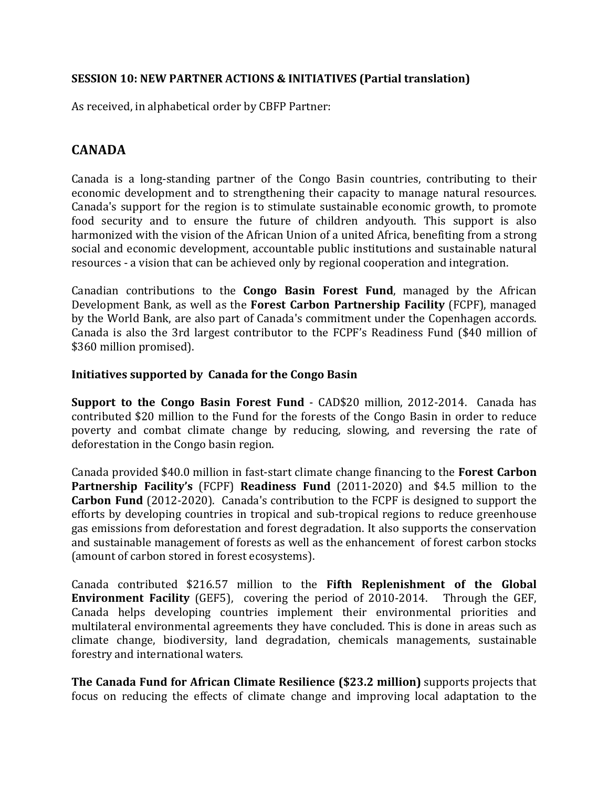#### **SESSION 10: NEW PARTNER ACTIONS & INITIATIVES (Partial translation)**

As received, in alphabetical order by CBFP Partner:

# **CANADA**

Canada is a long-standing partner of the Congo Basin countries, contributing to their economic development and to strengthening their capacity to manage natural resources. Canada's support for the region is to stimulate sustainable economic growth, to promote food security and to ensure the future of children andyouth. This support is also harmonized with the vision of the African Union of a united Africa, benefiting from a strong social and economic development, accountable public institutions and sustainable natural resources - a vision that can be achieved only by regional cooperation and integration.

Canadian contributions to the **Congo Basin Forest Fund**, managed by the African Development Bank, as well as the **Forest Carbon Partnership Facility** (FCPF), managed by the World Bank, are also part of Canada's commitment under the Copenhagen accords. Canada is also the 3rd largest contributor to the FCPF's Readiness Fund (\$40 million of \$360 million promised).

#### **Initiatives supported by Canada for the Congo Basin**

**Support to the Congo Basin Forest Fund** - CAD\$20 million, 2012-2014. Canada has contributed \$20 million to the Fund for the forests of the Congo Basin in order to reduce poverty and combat climate change by reducing, slowing, and reversing the rate of deforestation in the Congo basin region.

Canada provided \$40.0 million in fast-start climate change financing to the **Forest Carbon Partnership Facility's** (FCPF) **Readiness Fund** (2011-2020) and \$4.5 million to the **Carbon Fund** (2012-2020). Canada's contribution to the FCPF is designed to support the efforts by developing countries in tropical and sub-tropical regions to reduce greenhouse gas emissions from deforestation and forest degradation. It also supports the conservation and sustainable management of forests as well as the enhancement of forest carbon stocks (amount of carbon stored in forest ecosystems).

Canada contributed \$216.57 million to the Fifth Replenishment of the Global **Environment Facility** (GEF5), covering the period of 2010-2014. Through the GEF, Canada helps developing countries implement their environmental priorities and multilateral environmental agreements they have concluded. This is done in areas such as climate change, biodiversity, land degradation, chemicals managements, sustainable forestry and international waters.

**The Canada Fund for African Climate Resilience (\$23.2 million)** supports projects that focus on reducing the effects of climate change and improving local adaptation to the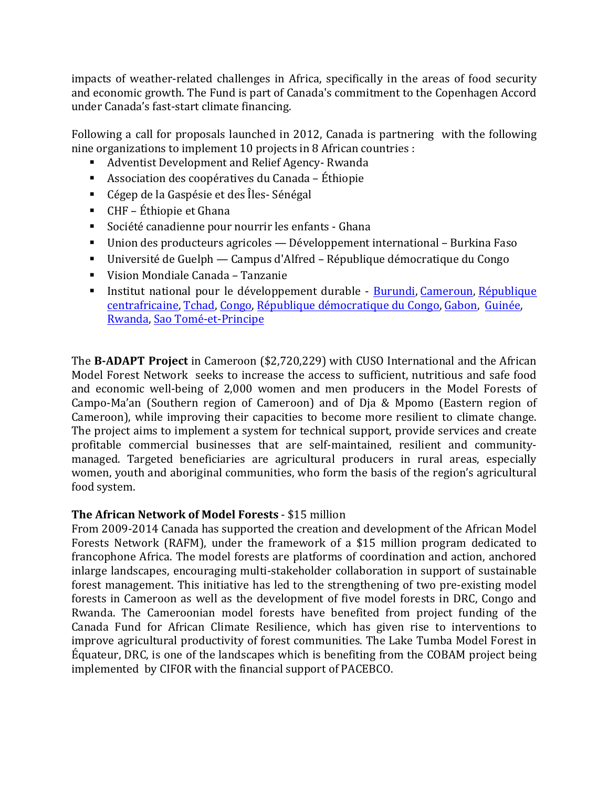impacts of weather-related challenges in Africa, specifically in the areas of food security and economic growth. The Fund is part of Canada's commitment to the Copenhagen Accord under Canada's fast-start climate financing.

Following a call for proposals launched in 2012, Canada is partnering with the following nine organizations to implement  $10$  projects in  $8$  African countries :

- Adventist Development and Relief Agency- Rwanda
- Association des coopératives du Canada Éthiopie
- Cégep de la Gaspésie et des Îles- Sénégal
- CHF Éthiopie et Ghana
- Société canadienne pour nourrir les enfants Ghana
- Union des producteurs agricoles Développement international Burkina Faso
- Université de Guelph Campus d'Alfred République démocratique du Congo
- Vision Mondiale Canada Tanzanie
- Institut national pour le développement durable Burundi, Cameroun, République centrafricaine, Tchad, Congo, République démocratique du Congo, Gabon, Guinée, Rwanda, Sao Tomé-et-Principe

The **B-ADAPT Project** in Cameroon (\$2,720,229) with CUSO International and the African Model Forest Network seeks to increase the access to sufficient, nutritious and safe food and economic well-being of 2,000 women and men producers in the Model Forests of Campo-Ma'an (Southern region of Cameroon) and of Dja & Mpomo (Eastern region of Cameroon), while improving their capacities to become more resilient to climate change. The project aims to implement a system for technical support, provide services and create profitable commercial businesses that are self-maintained, resilient and communitymanaged. Targeted beneficiaries are agricultural producers in rural areas, especially women, youth and aboriginal communities, who form the basis of the region's agricultural food system.

#### **The African Network of Model Forests - \$15 million**

From 2009-2014 Canada has supported the creation and development of the African Model Forests Network (RAFM), under the framework of a \$15 million program dedicated to francophone Africa. The model forests are platforms of coordination and action, anchored inlarge landscapes, encouraging multi-stakeholder collaboration in support of sustainable forest management. This initiative has led to the strengthening of two pre-existing model forests in Cameroon as well as the development of five model forests in DRC, Congo and Rwanda. The Cameroonian model forests have benefited from project funding of the Canada Fund for African Climate Resilience, which has given rise to interventions to improve agricultural productivity of forest communities. The Lake Tumba Model Forest in Équateur, DRC, is one of the landscapes which is benefiting from the COBAM project being implemented by CIFOR with the financial support of PACEBCO.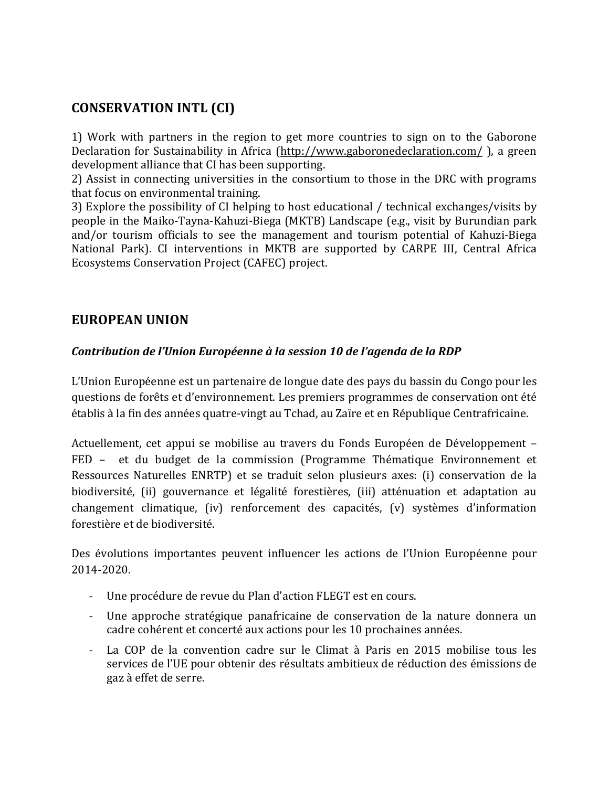# **CONSERVATION INTL (CI)**

1) Work with partners in the region to get more countries to sign on to the Gaborone Declaration for Sustainability in Africa (http://www.gaboronedeclaration.com/), a green development alliance that CI has been supporting.

2) Assist in connecting universities in the consortium to those in the DRC with programs that focus on environmental training.

3) Explore the possibility of CI helping to host educational / technical exchanges/visits by people in the Maiko-Tayna-Kahuzi-Biega (MKTB) Landscape (e.g., visit by Burundian park and/or tourism officials to see the management and tourism potential of Kahuzi-Biega National Park). CI interventions in MKTB are supported by CARPE III, Central Africa Ecosystems Conservation Project (CAFEC) project.

### **EUROPEAN UNION**

#### *Contribution de l'Union Européenne à la session 10 de l'agenda de la RDP*

L'Union Européenne est un partenaire de longue date des pays du bassin du Congo pour les questions de forêts et d'environnement. Les premiers programmes de conservation ont été établis à la fin des années quatre-vingt au Tchad, au Zaïre et en République Centrafricaine.

Actuellement, cet appui se mobilise au travers du Fonds Européen de Développement – FED – et du budget de la commission (Programme Thématique Environnement et Ressources Naturelles ENRTP) et se traduit selon plusieurs axes: (i) conservation de la biodiversité, (ii) gouvernance et légalité forestières, (iii) atténuation et adaptation au changement climatique, (iv) renforcement des capacités, (v) systèmes d'information forestière et de biodiversité.

Des évolutions importantes peuvent influencer les actions de l'Union Européenne pour 2014-2020.

- Une procédure de revue du Plan d'action FLEGT est en cours.
- Une approche stratégique panafricaine de conservation de la nature donnera un cadre cohérent et concerté aux actions pour les 10 prochaines années.
- La COP de la convention cadre sur le Climat à Paris en 2015 mobilise tous les services de l'UE pour obtenir des résultats ambitieux de réduction des émissions de gaz à effet de serre.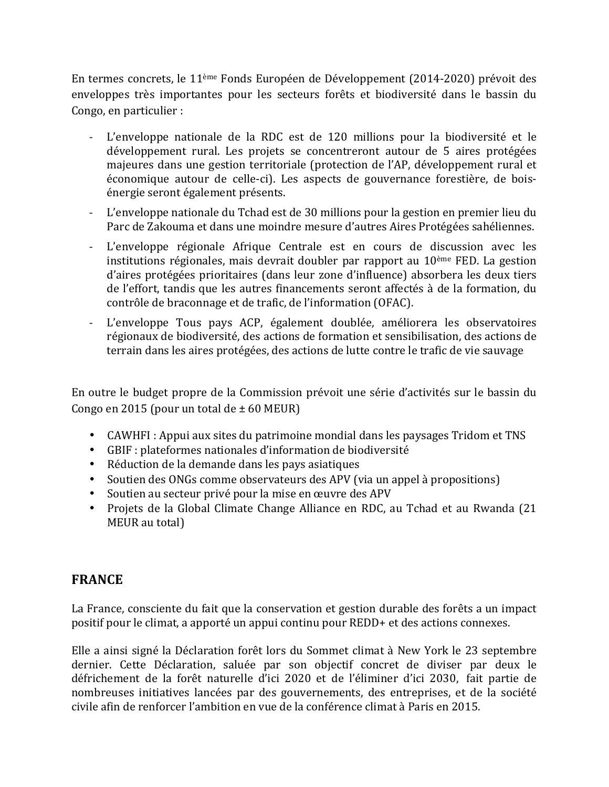En termes concrets, le  $11^{\text{eme}}$  Fonds Européen de Développement (2014-2020) prévoit des enveloppes très importantes pour les secteurs forêts et biodiversité dans le bassin du Congo, en particulier :

- L'enveloppe nationale de la RDC est de 120 millions pour la biodiversité et le développement rural. Les projets se concentreront autour de 5 aires protégées majeures dans une gestion territoriale (protection de l'AP, développement rural et économique autour de celle-ci). Les aspects de gouvernance forestière, de boisénergie seront également présents.
- L'enveloppe nationale du Tchad est de 30 millions pour la gestion en premier lieu du Parc de Zakouma et dans une moindre mesure d'autres Aires Protégées sahéliennes.
- L'enveloppe régionale Afrique Centrale est en cours de discussion avec les institutions régionales, mais devrait doubler par rapport au  $10<sup>eme</sup>$  FED. La gestion d'aires protégées prioritaires (dans leur zone d'influence) absorbera les deux tiers de l'effort, tandis que les autres financements seront affectés à de la formation, du contrôle de braconnage et de trafic, de l'information (OFAC).
- L'enveloppe Tous pays ACP, également doublée, améliorera les observatoires régionaux de biodiversité, des actions de formation et sensibilisation, des actions de terrain dans les aires protégées, des actions de lutte contre le trafic de vie sauvage

En outre le budget propre de la Commission prévoit une série d'activités sur le bassin du Congo en 2015 (pour un total de  $\pm$  60 MEUR)

- CAWHFI: Appui aux sites du patrimoine mondial dans les paysages Tridom et TNS
- GBIF : plateformes nationales d'information de biodiversité
- Réduction de la demande dans les pays asiatiques
- Soutien des ONGs comme observateurs des APV (via un appel à propositions)
- Soutien au secteur privé pour la mise en œuvre des APV
- Projets de la Global Climate Change Alliance en RDC, au Tchad et au Rwanda (21) MEUR au total)

# **FRANCE**

La France, consciente du fait que la conservation et gestion durable des forêts a un impact positif pour le climat, a apporté un appui continu pour REDD+ et des actions connexes.

Elle a ainsi signé la Déclaration forêt lors du Sommet climat à New York le 23 septembre dernier. Cette Déclaration, saluée par son objectif concret de diviser par deux le défrichement de la forêt naturelle d'ici 2020 et de l'éliminer d'ici 2030, fait partie de nombreuses initiatives lancées par des gouvernements, des entreprises, et de la société civile afin de renforcer l'ambition en vue de la conférence climat à Paris en 2015.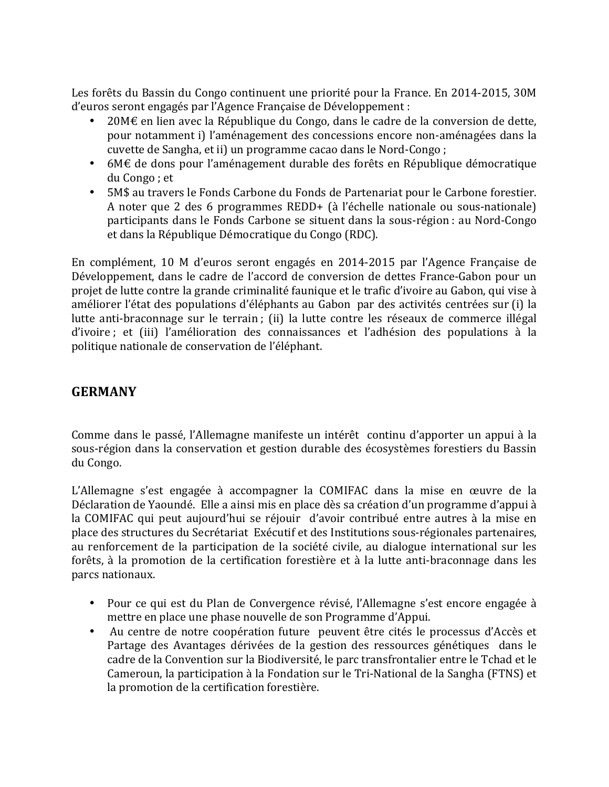Les forêts du Bassin du Congo continuent une priorité pour la France. En 2014-2015, 30M d'euros seront engagés par l'Agence Française de Développement :

- $20M\epsilon$  en lien avec la République du Congo, dans le cadre de la conversion de dette, pour notamment i) l'aménagement des concessions encore non-aménagées dans la cuvette de Sangha, et ii) un programme cacao dans le Nord-Congo ;
- 6M€ de dons pour l'aménagement durable des forêts en République démocratique du Congo ; et
- 5M\$ au travers le Fonds Carbone du Fonds de Partenariat pour le Carbone forestier. A noter que 2 des 6 programmes REDD+ (à l'échelle nationale ou sous-nationale) participants dans le Fonds Carbone se situent dans la sous-région : au Nord-Congo et dans la République Démocratique du Congo (RDC).

En complément, 10 M d'euros seront engagés en 2014-2015 par l'Agence Française de Développement, dans le cadre de l'accord de conversion de dettes France-Gabon pour un projet de lutte contre la grande criminalité faunique et le trafic d'ivoire au Gabon, qui vise à améliorer l'état des populations d'éléphants au Gabon par des activités centrées sur (i) la lutte anti-braconnage sur le terrain ; (ii) la lutte contre les réseaux de commerce illégal d'ivoire; et (iii) l'amélioration des connaissances et l'adhésion des populations à la politique nationale de conservation de l'éléphant.

### **GERMANY**

Comme dans le passé, l'Allemagne manifeste un intérêt continu d'apporter un appui à la sous-région dans la conservation et gestion durable des écosystèmes forestiers du Bassin du Congo.

L'Allemagne s'est engagée à accompagner la COMIFAC dans la mise en œuvre de la Déclaration de Yaoundé. Elle a ainsi mis en place dès sa création d'un programme d'appui à la COMIFAC qui peut aujourd'hui se réjouir d'avoir contribué entre autres à la mise en place des structures du Secrétariat Exécutif et des Institutions sous-régionales partenaires, au renforcement de la participation de la société civile, au dialogue international sur les forêts, à la promotion de la certification forestière et à la lutte anti-braconnage dans les parcs nationaux.

- Pour ce qui est du Plan de Convergence révisé, l'Allemagne s'est encore engagée à mettre en place une phase nouvelle de son Programme d'Appui.
- Au centre de notre coopération future peuvent être cités le processus d'Accès et Partage des Avantages dérivées de la gestion des ressources génétiques dans le cadre de la Convention sur la Biodiversité, le parc transfrontalier entre le Tchad et le Cameroun, la participation à la Fondation sur le Tri-National de la Sangha (FTNS) et la promotion de la certification forestière.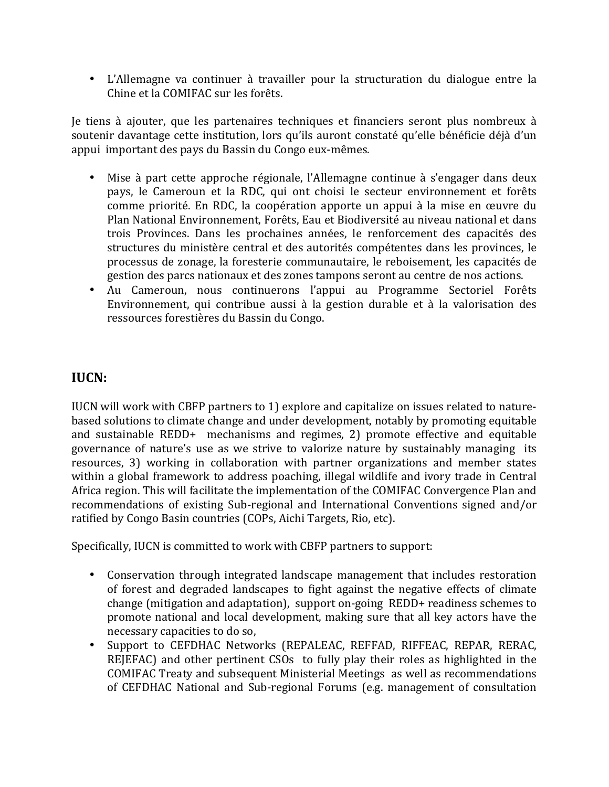• L'Allemagne va continuer à travailler pour la structuration du dialogue entre la Chine et la COMIFAC sur les forêts.

Je tiens à ajouter, que les partenaires techniques et financiers seront plus nombreux à soutenir davantage cette institution, lors qu'ils auront constaté qu'elle bénéficie déjà d'un appui important des pays du Bassin du Congo eux-mêmes.

- Mise à part cette approche régionale, l'Allemagne continue à s'engager dans deux pays, le Cameroun et la RDC, qui ont choisi le secteur environnement et forêts comme priorité. En RDC, la coopération apporte un appui à la mise en œuvre du Plan National Environnement, Forêts, Eau et Biodiversité au niveau national et dans trois Provinces. Dans les prochaines années, le renforcement des capacités des structures du ministère central et des autorités compétentes dans les provinces, le processus de zonage, la foresterie communautaire, le reboisement, les capacités de gestion des parcs nationaux et des zones tampons seront au centre de nos actions.
- Au Cameroun, nous continuerons l'appui au Programme Sectoriel Forêts Environnement, qui contribue aussi à la gestion durable et à la valorisation des ressources forestières du Bassin du Congo.

### **IUCN:**

IUCN will work with CBFP partners to 1) explore and capitalize on issues related to naturebased solutions to climate change and under development, notably by promoting equitable and sustainable  $REDD+$  mechanisms and regimes, 2) promote effective and equitable governance of nature's use as we strive to valorize nature by sustainably managing its resources, 3) working in collaboration with partner organizations and member states within a global framework to address poaching, illegal wildlife and ivory trade in Central Africa region. This will facilitate the implementation of the COMIFAC Convergence Plan and recommendations of existing Sub-regional and International Conventions signed and/or ratified by Congo Basin countries (COPs, Aichi Targets, Rio, etc).

Specifically, IUCN is committed to work with CBFP partners to support:

- Conservation through integrated landscape management that includes restoration of forest and degraded landscapes to fight against the negative effects of climate change (mitigation and adaptation), support on-going REDD+ readiness schemes to promote national and local development, making sure that all key actors have the necessary capacities to do so,
- Support to CEFDHAC Networks (REPALEAC, REFFAD, RIFFEAC, REPAR, RERAC, REJEFAC) and other pertinent CSOs to fully play their roles as highlighted in the COMIFAC Treaty and subsequent Ministerial Meetings as well as recommendations of CEFDHAC National and Sub-regional Forums (e.g. management of consultation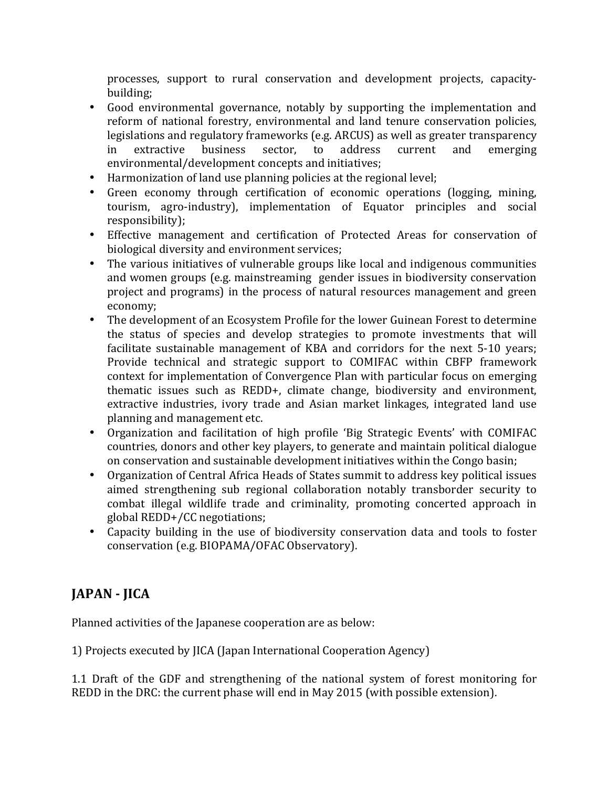processes, support to rural conservation and development projects, capacitybuilding;

- Good environmental governance, notably by supporting the implementation and reform of national forestry, environmental and land tenure conservation policies, legislations and regulatory frameworks (e.g. ARCUS) as well as greater transparency in extractive business sector, to address current and emerging environmental/development concepts and initiatives;
- Harmonization of land use planning policies at the regional level;
- Green economy through certification of economic operations (logging, mining, tourism, agro-industry), implementation of Equator principles and social responsibility);
- Effective management and certification of Protected Areas for conservation of biological diversity and environment services;
- The various initiatives of vulnerable groups like local and indigenous communities and women groups (e.g. mainstreaming gender issues in biodiversity conservation project and programs) in the process of natural resources management and green economy;
- The development of an Ecosystem Profile for the lower Guinean Forest to determine the status of species and develop strategies to promote investments that will facilitate sustainable management of KBA and corridors for the next 5-10 years; Provide technical and strategic support to COMIFAC within CBFP framework context for implementation of Convergence Plan with particular focus on emerging thematic issues such as REDD+, climate change, biodiversity and environment, extractive industries, ivory trade and Asian market linkages, integrated land use planning and management etc.
- Organization and facilitation of high profile 'Big Strategic Events' with COMIFAC countries, donors and other key players, to generate and maintain political dialogue on conservation and sustainable development initiatives within the Congo basin;
- Organization of Central Africa Heads of States summit to address key political issues aimed strengthening sub regional collaboration notably transborder security to combat illegal wildlife trade and criminality, promoting concerted approach in global REDD+/CC negotiations;
- Capacity building in the use of biodiversity conservation data and tools to foster conservation (e.g. BIOPAMA/OFAC Observatory).

# **JAPAN - JICA**

Planned activities of the Japanese cooperation are as below:

1) Projects executed by JICA (Japan International Cooperation Agency)

1.1 Draft of the GDF and strengthening of the national system of forest monitoring for REDD in the DRC: the current phase will end in May 2015 (with possible extension).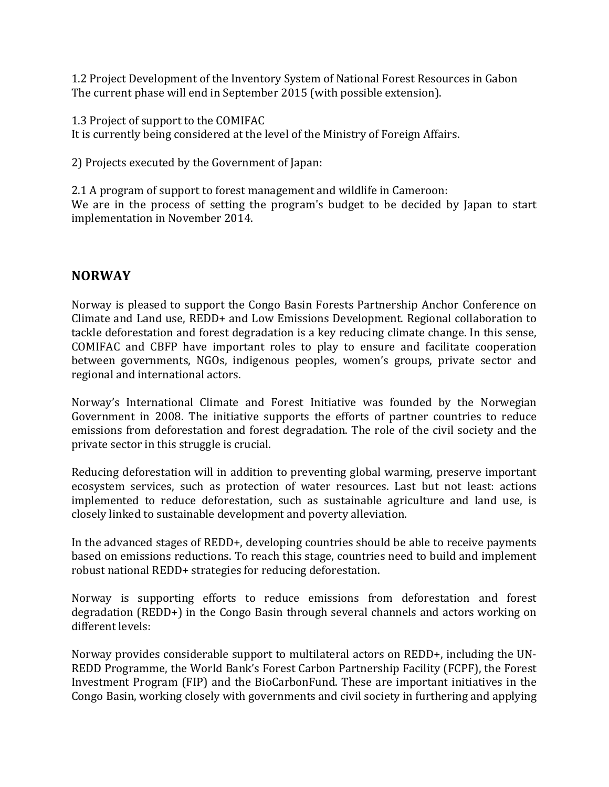1.2 Project Development of the Inventory System of National Forest Resources in Gabon The current phase will end in September 2015 (with possible extension).

1.3 Project of support to the COMIFAC

It is currently being considered at the level of the Ministry of Foreign Affairs.

2) Projects executed by the Government of Japan:

2.1 A program of support to forest management and wildlife in Cameroon: We are in the process of setting the program's budget to be decided by Japan to start implementation in November 2014.

### **NORWAY**

Norway is pleased to support the Congo Basin Forests Partnership Anchor Conference on Climate and Land use, REDD+ and Low Emissions Development. Regional collaboration to tackle deforestation and forest degradation is a key reducing climate change. In this sense, COMIFAC and CBFP have important roles to play to ensure and facilitate cooperation between governments, NGOs, indigenous peoples, women's groups, private sector and regional and international actors.

Norway's International Climate and Forest Initiative was founded by the Norwegian Government in 2008. The initiative supports the efforts of partner countries to reduce emissions from deforestation and forest degradation. The role of the civil society and the private sector in this struggle is crucial.

Reducing deforestation will in addition to preventing global warming, preserve important ecosystem services, such as protection of water resources. Last but not least: actions implemented to reduce deforestation, such as sustainable agriculture and land use, is closely linked to sustainable development and poverty alleviation.

In the advanced stages of REDD+, developing countries should be able to receive payments based on emissions reductions. To reach this stage, countries need to build and implement robust national REDD+ strategies for reducing deforestation.

Norway is supporting efforts to reduce emissions from deforestation and forest degradation (REDD+) in the Congo Basin through several channels and actors working on different levels:

Norway provides considerable support to multilateral actors on REDD+, including the UN-REDD Programme, the World Bank's Forest Carbon Partnership Facility (FCPF), the Forest Investment Program (FIP) and the BioCarbonFund. These are important initiatives in the Congo Basin, working closely with governments and civil society in furthering and applying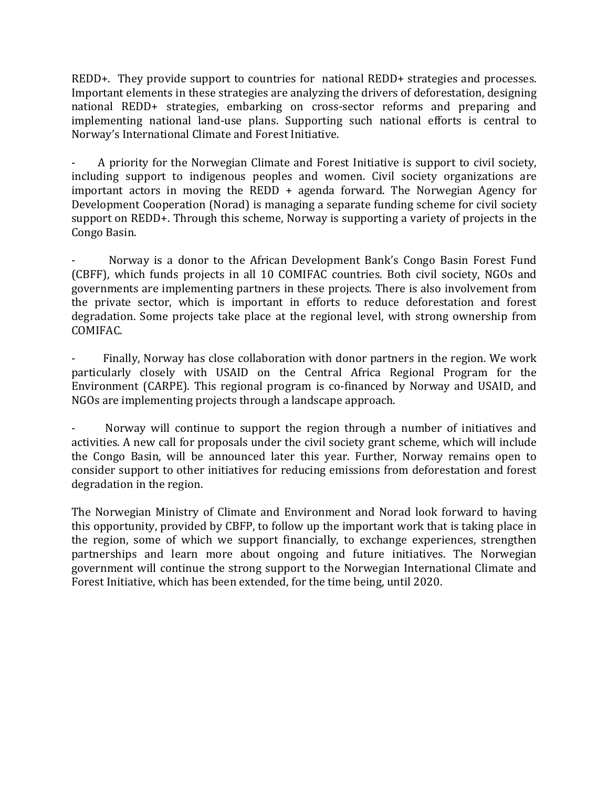REDD+. They provide support to countries for national REDD+ strategies and processes. Important elements in these strategies are analyzing the drivers of deforestation, designing national REDD+ strategies, embarking on cross-sector reforms and preparing and implementing national land-use plans. Supporting such national efforts is central to Norway's International Climate and Forest Initiative.

A priority for the Norwegian Climate and Forest Initiative is support to civil society, including support to indigenous peoples and women. Civil society organizations are important actors in moving the REDD  $+$  agenda forward. The Norwegian Agency for Development Cooperation (Norad) is managing a separate funding scheme for civil society support on REDD+. Through this scheme, Norway is supporting a variety of projects in the Congo Basin.

Norway is a donor to the African Development Bank's Congo Basin Forest Fund (CBFF), which funds projects in all 10 COMIFAC countries. Both civil society, NGOs and governments are implementing partners in these projects. There is also involvement from the private sector, which is important in efforts to reduce deforestation and forest degradation. Some projects take place at the regional level, with strong ownership from COMIFAC.

Finally, Norway has close collaboration with donor partners in the region. We work particularly closely with USAID on the Central Africa Regional Program for the Environment (CARPE). This regional program is co-financed by Norway and USAID, and NGOs are implementing projects through a landscape approach.

Norway will continue to support the region through a number of initiatives and activities. A new call for proposals under the civil society grant scheme, which will include the Congo Basin, will be announced later this year. Further, Norway remains open to consider support to other initiatives for reducing emissions from deforestation and forest degradation in the region.

The Norwegian Ministry of Climate and Environment and Norad look forward to having this opportunity, provided by CBFP, to follow up the important work that is taking place in the region, some of which we support financially, to exchange experiences, strengthen partnerships and learn more about ongoing and future initiatives. The Norwegian government will continue the strong support to the Norwegian International Climate and Forest Initiative, which has been extended, for the time being, until 2020.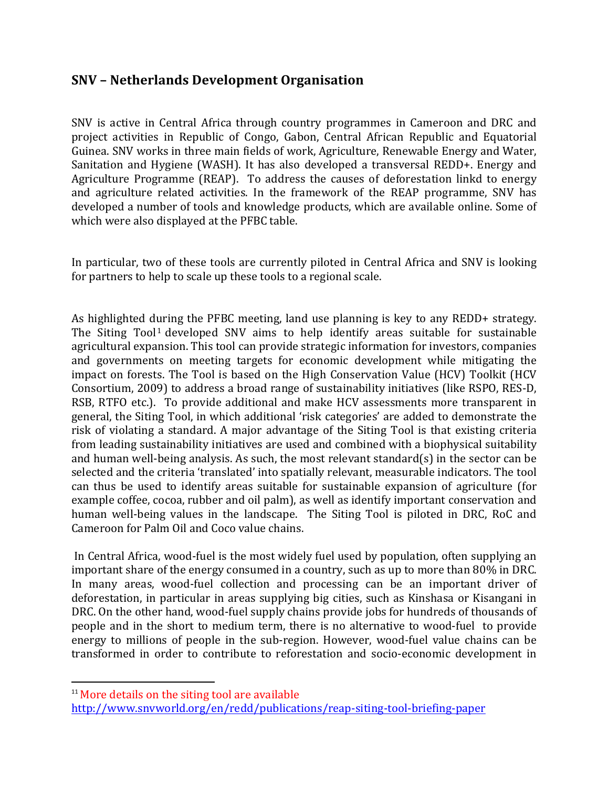### **SNV** – Netherlands Development Organisation

SNV is active in Central Africa through country programmes in Cameroon and DRC and project activities in Republic of Congo, Gabon, Central African Republic and Equatorial Guinea. SNV works in three main fields of work, Agriculture, Renewable Energy and Water, Sanitation and Hygiene (WASH). It has also developed a transversal REDD+. Energy and Agriculture Programme (REAP). To address the causes of deforestation linkd to energy and agriculture related activities. In the framework of the REAP programme, SNV has developed a number of tools and knowledge products, which are available online. Some of which were also displayed at the PFBC table.

In particular, two of these tools are currently piloted in Central Africa and SNV is looking for partners to help to scale up these tools to a regional scale.

As highlighted during the PFBC meeting, land use planning is key to any REDD+ strategy. The Siting  $Tool<sup>1</sup>$  developed SNV aims to help identify areas suitable for sustainable agricultural expansion. This tool can provide strategic information for investors, companies and governments on meeting targets for economic development while mitigating the impact on forests. The Tool is based on the High Conservation Value (HCV) Toolkit (HCV Consortium, 2009) to address a broad range of sustainability initiatives (like RSPO, RES-D, RSB, RTFO etc.). To provide additional and make HCV assessments more transparent in general, the Siting Tool, in which additional 'risk categories' are added to demonstrate the risk of violating a standard. A major advantage of the Siting Tool is that existing criteria from leading sustainability initiatives are used and combined with a biophysical suitability and human well-being analysis. As such, the most relevant standard(s) in the sector can be selected and the criteria 'translated' into spatially relevant, measurable indicators. The tool can thus be used to identify areas suitable for sustainable expansion of agriculture (for example coffee, cocoa, rubber and oil palm), as well as identify important conservation and human well-being values in the landscape. The Siting Tool is piloted in DRC, RoC and Cameroon for Palm Oil and Coco value chains.

In Central Africa, wood-fuel is the most widely fuel used by population, often supplying an important share of the energy consumed in a country, such as up to more than 80% in DRC. In many areas, wood-fuel collection and processing can be an important driver of deforestation, in particular in areas supplying big cities, such as Kinshasa or Kisangani in DRC. On the other hand, wood-fuel supply chains provide jobs for hundreds of thousands of people and in the short to medium term, there is no alternative to wood-fuel to provide energy to millions of people in the sub-region. However, wood-fuel value chains can be transformed in order to contribute to reforestation and socio-economic development in

 

 $11$  More details on the siting tool are available

http://www.snyworld.org/en/redd/publications/reap-siting-tool-briefing-paper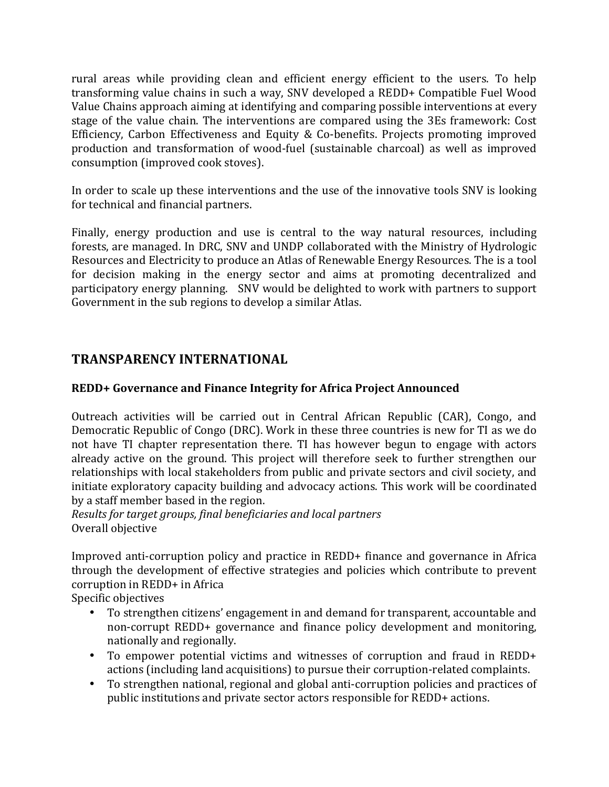rural areas while providing clean and efficient energy efficient to the users. To help transforming value chains in such a way, SNV developed a REDD+ Compatible Fuel Wood Value Chains approach aiming at identifying and comparing possible interventions at every stage of the value chain. The interventions are compared using the 3Es framework: Cost Efficiency, Carbon Effectiveness and Equity & Co-benefits. Projects promoting improved production and transformation of wood-fuel (sustainable charcoal) as well as improved consumption (improved cook stoves).

In order to scale up these interventions and the use of the innovative tools SNV is looking for technical and financial partners.

Finally, energy production and use is central to the way natural resources, including forests, are managed. In DRC, SNV and UNDP collaborated with the Ministry of Hydrologic Resources and Electricity to produce an Atlas of Renewable Energy Resources. The is a tool for decision making in the energy sector and aims at promoting decentralized and participatory energy planning. SNV would be delighted to work with partners to support Government in the sub regions to develop a similar Atlas.

# **TRANSPARENCY INTERNATIONAL**

#### **REDD+ Governance and Finance Integrity for Africa Project Announced**

Outreach activities will be carried out in Central African Republic (CAR), Congo, and Democratic Republic of Congo (DRC). Work in these three countries is new for TI as we do not have TI chapter representation there. TI has however begun to engage with actors already active on the ground. This project will therefore seek to further strengthen our relationships with local stakeholders from public and private sectors and civil society, and initiate exploratory capacity building and advocacy actions. This work will be coordinated by a staff member based in the region.

*Results for target groups, final beneficiaries and local partners* Overall objective

Improved anti-corruption policy and practice in REDD+ finance and governance in Africa through the development of effective strategies and policies which contribute to prevent corruption in REDD+ in Africa

Specific objectives

- To strengthen citizens' engagement in and demand for transparent, accountable and non-corrupt REDD+ governance and finance policy development and monitoring, nationally and regionally.
- To empower potential victims and witnesses of corruption and fraud in REDD+ actions (including land acquisitions) to pursue their corruption-related complaints.
- To strengthen national, regional and global anti-corruption policies and practices of public institutions and private sector actors responsible for REDD+ actions.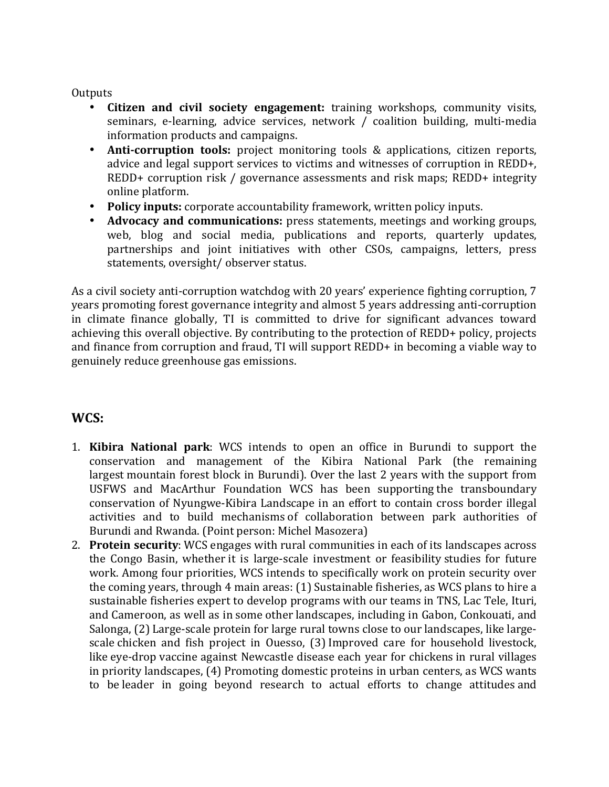**Outputs** 

- **Citizen and civil society engagement:** training workshops, community visits, seminars, e-learning, advice services, network / coalition building, multi-media information products and campaigns.
- **Anti-corruption tools:** project monitoring tools & applications, citizen reports, advice and legal support services to victims and witnesses of corruption in REDD+,  $REDD+$  corruption risk / governance assessments and risk maps;  $REDD+$  integrity online platform.
- **Policy inputs:** corporate accountability framework, written policy inputs.
- **Advocacy and communications:** press statements, meetings and working groups, web, blog and social media, publications and reports, quarterly updates, partnerships and joint initiatives with other CSOs, campaigns, letters, press statements, oversight/ observer status.

As a civil society anti-corruption watchdog with 20 years' experience fighting corruption, 7 years promoting forest governance integrity and almost 5 years addressing anti-corruption in climate finance globally. TI is committed to drive for significant advances toward achieving this overall objective. By contributing to the protection of REDD+ policy, projects and finance from corruption and fraud,  $T1$  will support REDD+ in becoming a viable way to genuinely reduce greenhouse gas emissions.

### **WCS:**

- 1. **Kibira National park**: WCS intends to open an office in Burundi to support the conservation and management of the Kibira National Park (the remaining largest mountain forest block in Burundi). Over the last 2 years with the support from USFWS and MacArthur Foundation WCS has been supporting the transboundary conservation of Nyungwe-Kibira Landscape in an effort to contain cross border illegal activities and to build mechanisms of collaboration between park authorities of Burundi and Rwanda. (Point person: Michel Masozera)
- 2. **Protein security**: WCS engages with rural communities in each of its landscapes across the Congo Basin, whether it is large-scale investment or feasibility studies for future work. Among four priorities, WCS intends to specifically work on protein security over the coming years, through 4 main areas: (1) Sustainable fisheries, as WCS plans to hire a sustainable fisheries expert to develop programs with our teams in TNS, Lac Tele, Ituri, and Cameroon, as well as in some other landscapes, including in Gabon, Conkouati, and Salonga, (2) Large-scale protein for large rural towns close to our landscapes, like largescale chicken and fish project in Ouesso, (3) Improved care for household livestock, like eye-drop vaccine against Newcastle disease each year for chickens in rural villages in priority landscapes, (4) Promoting domestic proteins in urban centers, as WCS wants to be leader in going beyond research to actual efforts to change attitudes and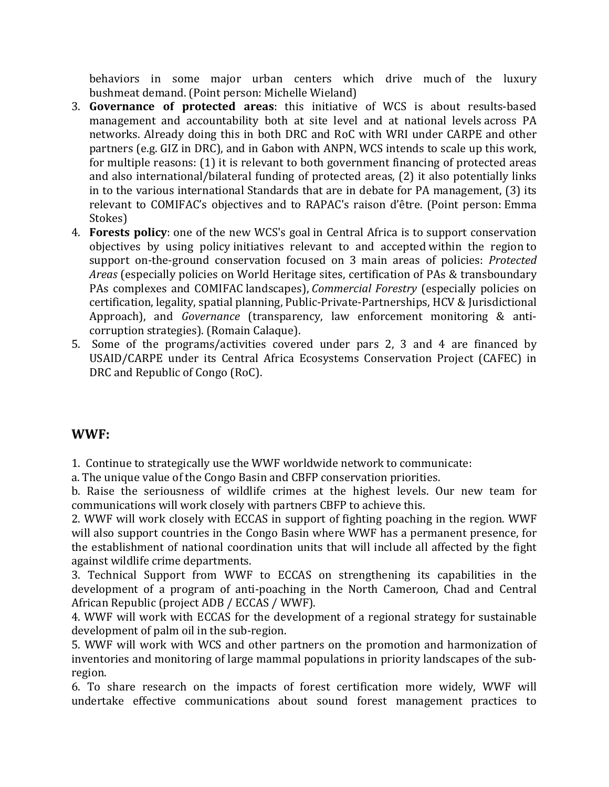behaviors in some major urban centers which drive much of the luxury bushmeat demand. (Point person: Michelle Wieland)

- 3. Governance of protected areas: this initiative of WCS is about results-based management and accountability both at site level and at national levels across PA networks. Already doing this in both DRC and RoC with WRI under CARPE and other partners (e.g. GIZ in DRC), and in Gabon with ANPN, WCS intends to scale up this work, for multiple reasons: (1) it is relevant to both government financing of protected areas and also international/bilateral funding of protected areas, (2) it also potentially links in to the various international Standards that are in debate for PA management,  $(3)$  its relevant to COMIFAC's objectives and to RAPAC's raison d'être. (Point person: Emma Stokes)
- 4. **Forests policy**: one of the new WCS's goal in Central Africa is to support conservation objectives by using policy initiatives relevant to and accepted within the region to support on-the-ground conservation focused on 3 main areas of policies: *Protected* Areas (especially policies on World Heritage sites, certification of PAs & transboundary PAs complexes and COMIFAC landscapes), *Commercial Forestry* (especially policies on certification, legality, spatial planning, Public-Private-Partnerships, HCV & Jurisdictional Approach), and *Governance* (transparency, law enforcement monitoring & anticorruption strategies). (Romain Calaque).
- 5. Some of the programs/activities covered under pars 2, 3 and 4 are financed by USAID/CARPE under its Central Africa Ecosystems Conservation Project (CAFEC) in DRC and Republic of Congo (RoC).

# **WWF:**

1. Continue to strategically use the WWF worldwide network to communicate:

a. The unique value of the Congo Basin and CBFP conservation priorities.

b. Raise the seriousness of wildlife crimes at the highest levels. Our new team for communications will work closely with partners CBFP to achieve this.

2. WWF will work closely with ECCAS in support of fighting poaching in the region. WWF will also support countries in the Congo Basin where WWF has a permanent presence, for the establishment of national coordination units that will include all affected by the fight against wildlife crime departments.

3. Technical Support from WWF to ECCAS on strengthening its capabilities in the development of a program of anti-poaching in the North Cameroon, Chad and Central African Republic (project ADB / ECCAS / WWF).

4. WWF will work with ECCAS for the development of a regional strategy for sustainable development of palm oil in the sub-region.

5. WWF will work with WCS and other partners on the promotion and harmonization of inventories and monitoring of large mammal populations in priority landscapes of the subregion. 

6. To share research on the impacts of forest certification more widely, WWF will undertake effective communications about sound forest management practices to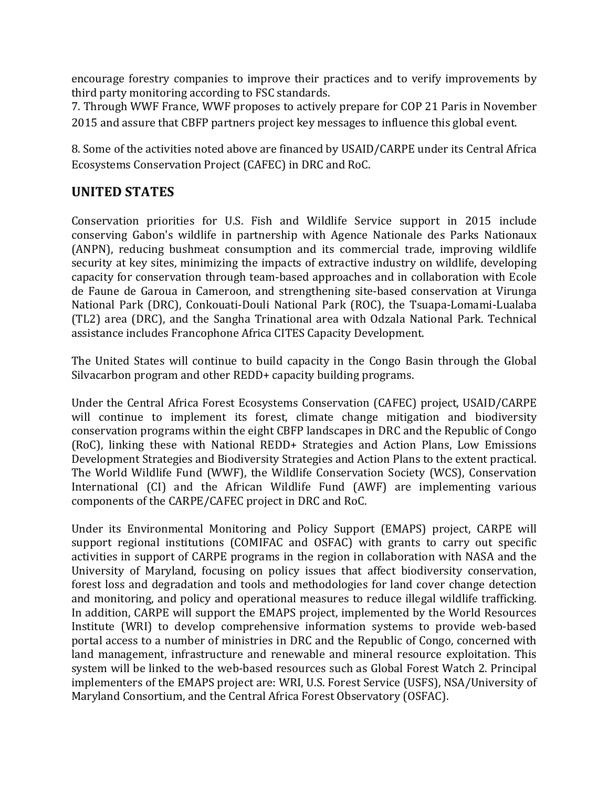encourage forestry companies to improve their practices and to verify improvements by third party monitoring according to FSC standards.

7. Through WWF France, WWF proposes to actively prepare for COP 21 Paris in November 2015 and assure that CBFP partners project key messages to influence this global event.

8. Some of the activities noted above are financed by USAID/CARPE under its Central Africa Ecosystems Conservation Project (CAFEC) in DRC and RoC.

# **UNITED STATES**

Conservation priorities for U.S. Fish and Wildlife Service support in 2015 include conserving Gabon's wildlife in partnership with Agence Nationale des Parks Nationaux (ANPN), reducing bushmeat consumption and its commercial trade, improving wildlife security at key sites, minimizing the impacts of extractive industry on wildlife, developing capacity for conservation through team-based approaches and in collaboration with Ecole de Faune de Garoua in Cameroon, and strengthening site-based conservation at Virunga National Park (DRC), Conkouati-Douli National Park (ROC), the Tsuapa-Lomami-Lualaba (TL2) area (DRC), and the Sangha Trinational area with Odzala National Park. Technical assistance includes Francophone Africa CITES Capacity Development.

The United States will continue to build capacity in the Congo Basin through the Global Silvacarbon program and other REDD+ capacity building programs.

Under the Central Africa Forest Ecosystems Conservation (CAFEC) project, USAID/CARPE will continue to implement its forest, climate change mitigation and biodiversity conservation programs within the eight CBFP landscapes in DRC and the Republic of Congo (RoC), linking these with National REDD+ Strategies and Action Plans, Low Emissions Development Strategies and Biodiversity Strategies and Action Plans to the extent practical. The World Wildlife Fund (WWF), the Wildlife Conservation Society (WCS), Conservation International (CI) and the African Wildlife Fund (AWF) are implementing various components of the CARPE/CAFEC project in DRC and RoC.

Under its Environmental Monitoring and Policy Support (EMAPS) project, CARPE will support regional institutions (COMIFAC and OSFAC) with grants to carry out specific activities in support of CARPE programs in the region in collaboration with NASA and the University of Maryland, focusing on policy issues that affect biodiversity conservation, forest loss and degradation and tools and methodologies for land cover change detection and monitoring, and policy and operational measures to reduce illegal wildlife trafficking. In addition, CARPE will support the EMAPS project, implemented by the World Resources Institute (WRI) to develop comprehensive information systems to provide web-based portal access to a number of ministries in DRC and the Republic of Congo, concerned with land management, infrastructure and renewable and mineral resource exploitation. This system will be linked to the web-based resources such as Global Forest Watch 2. Principal implementers of the EMAPS project are: WRI, U.S. Forest Service (USFS), NSA/University of Maryland Consortium, and the Central Africa Forest Observatory (OSFAC).